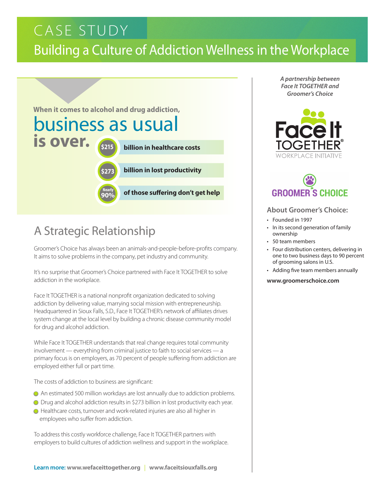### Building a Culture of Addiction Wellness in the Workplace CASE STUDY



### A Strategic Relationship

Groomer's Choice has always been an animals-and-people-before-profits company. It aims to solve problems in the company, pet industry and community.

It's no surprise that Groomer's Choice partnered with Face It TOGETHER to solve addiction in the workplace.

Face It TOGETHER is a national nonprofit organization dedicated to solving addiction by delivering value, marrying social mission with entrepreneurship. Headquartered in Sioux Falls, S.D., Face It TOGETHER's network of affiliates drives system change at the local level by building a chronic disease community model for drug and alcohol addiction.

While Face It TOGETHER understands that real change requires total community involvement — everything from criminal justice to faith to social services — a primary focus is on employers, as 70 percent of people suffering from addiction are employed either full or part time.

The costs of addiction to business are significant:

- l An estimated 500 million workdays are lost annually due to addiction problems.
- Drug and alcohol addiction results in \$273 billion in lost productivity each year.
- l Healthcare costs, turnover and work-related injuries are also all higher in employees who suffer from addiction.

To address this costly workforce challenge, Face It TOGETHER partners with employers to build cultures of addiction wellness and support in the workplace. *A partnership between Face It TOGETHER and Groomer's Choice*



# **GROOMER'S CHOICE**

#### **About Groomer's Choice:**

- Founded in 1997
- In its second generation of family ownership
- 50 team members
- Four distribution centers, delivering in one to two business days to 90 percent of grooming salons in U.S.
- Adding five team members annually

#### **www.groomerschoice.com**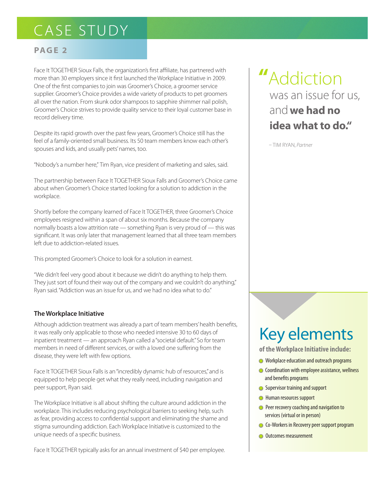#### **PAGE 2**

Face It TOGETHER Sioux Falls, the organization's first affiliate, has partnered with more than 30 employers since it first launched the Workplace Initiative in 2009. One of the first companies to join was Groomer's Choice, a groomer service supplier. Groomer's Choice provides a wide variety of products to pet groomers all over the nation. From skunk odor shampoos to sapphire shimmer nail polish, Groomer's Choice strives to provide quality service to their loyal customer base in record delivery time.

Despite its rapid growth over the past few years, Groomer's Choice still has the feel of a family-oriented small business. Its 50 team members know each other's spouses and kids, and usually pets' names, too.

"Nobody's a number here," Tim Ryan, vice president of marketing and sales, said.

The partnership between Face It TOGETHER Sioux Falls and Groomer's Choice came about when Groomer's Choice started looking for a solution to addiction in the workplace.

Shortly before the company learned of Face It TOGETHER, three Groomer's Choice employees resigned within a span of about six months. Because the company normally boasts a low attrition rate — something Ryan is very proud of — this was significant. It was only later that management learned that all three team members left due to addiction-related issues.

This prompted Groomer's Choice to look for a solution in earnest.

"We didn't feel very good about it because we didn't do anything to help them. They just sort of found their way out of the company and we couldn't do anything," Ryan said. "Addiction was an issue for us, and we had no idea what to do."

#### **The Workplace Initiative**

Although addiction treatment was already a part of team members' health benefits, it was really only applicable to those who needed intensive 30 to 60 days of inpatient treatment — an approach Ryan called a "societal default." So for team members in need of different services, or with a loved one suffering from the disease, they were left with few options.

Face It TOGETHER Sioux Falls is an "incredibly dynamic hub of resources," and is equipped to help people get what they really need, including navigation and peer support, Ryan said.

The Workplace Initiative is all about shifting the culture around addiction in the workplace. This includes reducing psychological barriers to seeking help, such as fear, providing access to confidential support and eliminating the shame and stigma surrounding addiction. Each Workplace Initiative is customized to the unique needs of a specific business.

Face It TOGETHER typically asks for an annual investment of \$40 per employee.

### **"**Addiction was an issue for us, and**we had no idea what to do."**

– Tim RyaN, *Partner*

# Key elements

**of the Workplace Initiative include:**

- **In Workplace education and outreach programs**
- **Coordination with employee assistance, wellness** and benefits programs
- **Supervisor training and support**
- **I** Human resources support
- **Peer recovery coaching and navigation to** services (virtual or in person)
- **Co-Workers in Recovery peer support program**
- **Outcomes measurement**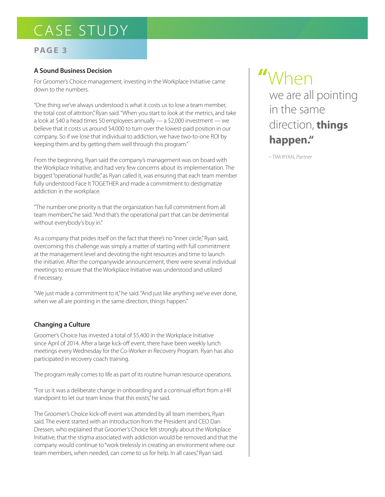#### **PAGE 3**

#### **A Sound Business Decision**

For Groomer's Choice management, investing in the Workplace Initiative came down to the numbers.

"One thing we've always understood is what it costs us to lose a team member, the total cost of attrition," Ryan said. "When you start to look at the metrics, and take a look at \$40 a head times 50 employees annually — a \$2,000 investment — we believe that it costs us around \$4,000 to turn over the lowest-paid position in our company. So if we lose that individual to addiction, we have two-to-one ROI by keeping them and by getting them well through this program."

From the beginning, Ryan said the company's management was on board with the Workplace Initiative, and had very few concerns about its implementation. The biggest "operational hurdle," as Ryan called it, was ensuring that each team member fully understood Face It TOGETHER and made a commitment to destigmatize addiction in the workplace.

"The number one priority is that the organization has full commitment from all team members," he said. "And that's the operational part that can be detrimental without everybody's buy in."

As a company that prides itself on the fact that there's no "inner circle," Ryan said, overcoming this challenge was simply a matter of starting with full commitment at the management level and devoting the right resources and time to launch the initiative. After the companywide announcement, there were several individual meetings to ensure that the Workplace Initiative was understood and utilized if necessary.

"We just made a commitment to it," he said. "And just like anything we've ever done, when we all are pointing in the same direction, things happen."

#### **Changing a Culture**

Groomer's Choice has invested a total of \$5,400 in the Workplace Initiative since April of 2014. After a large kick-off event, there have been weekly lunch meetings every Wednesday for the Co-Worker in Recovery Program. Ryan has also participated in recovery coach training.

The program really comes to life as part of its routine human resource operations.

"For us it was a deliberate change in onboarding and a continual effort from a HR standpoint to let our team know that this exists," he said.

The Groomer's Choice kick-off event was attended by all team members, Ryan said. The event started with an introduction from the President and CEO Dan Dressen, who explained that Groomer's Choice felt strongly about the Workplace Initiative, that the stigma associated with addiction would be removed and that the company would continue to "work tirelessly in creating an environment where our team members, when needed, can come to us for help. In all cases," Ryan said.

# **"**When

we are all pointing in the same direction, **things happen."**

– Tim RyaN, *Partner*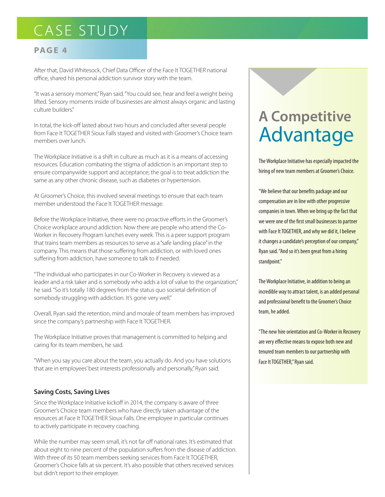#### **PAGE 4**

After that, David Whitesock, Chief Data Officer of the Face It TOGETHER national office, shared his personal addiction survivor story with the team.

"It was a sensory moment," Ryan said. "You could see, hear and feel a weight being lifted. Sensory moments inside of businesses are almost always organic and lasting culture builders."

In total, the kick-off lasted about two hours and concluded after several people from Face It TOGETHER Sioux Falls stayed and visited with Groomer's Choice team members over lunch.

The Workplace Initiative is a shift in culture as much as it is a means of accessing resources. Education combating the stigma of addiction is an important step to ensure companywide support and acceptance; the goal is to treat addiction the same as any other chronic disease, such as diabetes or hypertension.

At Groomer's Choice, this involved several meetings to ensure that each team member understood the Face It TOGETHER message.

Before the Workplace Initiative, there were no proactive efforts in the Groomer's Choice workplace around addiction. Now there are people who attend the Co-Worker in Recovery Program lunches every week. This is a peer support program that trains team members as resources to serve as a "safe landing place" in the company. This means that those suffering from addiction, or with loved ones suffering from addiction, have someone to talk to if needed.

"The individual who participates in our Co-Worker in Recovery is viewed as a leader and a risk taker and is somebody who adds a lot of value to the organization," he said. "So it's totally 180 degrees from the status quo societal definition of somebody struggling with addiction. It's gone very well."

Overall, Ryan said the retention, mind and morale of team members has improved since the company's partnership with Face It TOGETHER.

The Workplace Initiative proves that management is committed to helping and caring for its team members, he said.

"When you say you care about the team, you actually do. And you have solutions that are in employees' best interests professionally and personally," Ryan said.

#### **Saving Costs, Saving Lives**

Since the Workplace Initiative kickoff in 2014, the company is aware of three Groomer's Choice team members who have directly taken advantage of the resources at Face It TOGETHER Sioux Falls. One employee in particular continues to actively participate in recovery coaching.

While the number may seem small, it's not far off national rates. It's estimated that about eight to nine percent of the population suffers from the disease of addiction. With three of its 50 team members seeking services from Face It TOGETHER, Groomer's Choice falls at six percent. It's also possible that others received services but didn't report to their employer.

# **A Competitive** Advantage

The Workplace Initiative has especially impacted the hiring of new team members at Groomer's Choice.

"We believe that our benefits package and our compensation are in line with other progressive companies in town. When we bring up the fact that we were one of the first small businesses to partner with Face It TOGETHER, and why we did it, I believe it changes a candidate's perception of our company," Ryan said. "And so it's been great from a hiring standpoint."

The Workplace Initiative, in addition to being an incredible way to attract talent, is an added personal and professional benefit to the Groomer's Choice team, he added.

"The new hire orientation and Co-Worker in Recovery are very effective means to expose both new and tenured team members to our partnership with Face It TOGETHER," Ryan said.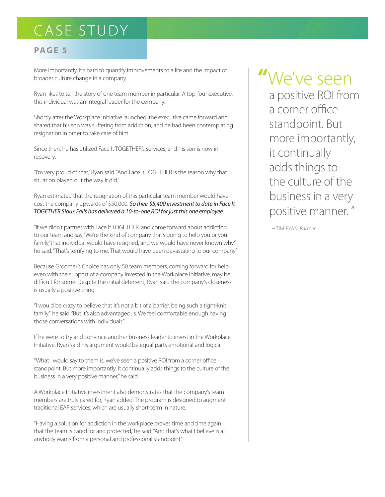#### **PAGE 5**

More importantly, it's hard to quantify improvements to a life and the impact of broader culture change in a company.

Ryan likes to tell the story of one team member in particular. A top-four executive, this individual was an integral leader for the company.

Shortly after the Workplace Initiative launched, the executive came forward and shared that his son was suffering from addiction, and he had been contemplating resignation in order to take care of him.

Since then, he has utilized Face It TOGETHER's services, and his son is now in recovery.

"I'm very proud of that," Ryan said. "And Face It TOGETHER is the reason why that situation played out the way it did."

Ryan estimated that the resignation of this particular team member would have cost the company upwards of \$50,000. *So their \$5,400 investment to date in Face It TOGETHER Sioux Falls has delivered a 10-to-one ROI for just this one employee.*

"If we didn't partner with Face It TOGETHER, and come forward about addiction to our team and say, 'We're the kind of company that's going to help you or your family,' that individual would have resigned, and we would have never known why," he said. "That's terrifying to me. That would have been devastating to our company."

Because Groomer's Choice has only 50 team members, coming forward for help, even with the support of a company invested in the Workplace Initiative, may be difficult for some. Despite the initial deterrent, Ryan said the company's closeness is usually a positive thing.

"I would be crazy to believe that it's not a bit of a barrier, being such a tight-knit family," he said. "But it's also advantageous. We feel comfortable enough having those conversations with individuals."

If he were to try and convince another business leader to invest in the Workplace Initiative, Ryan said his argument would be equal parts emotional and logical.

"What I would say to them is, we've seen a positive ROI from a corner office standpoint. But more importantly, it continually adds things to the culture of the business in a very positive manner," he said.

A Workplace Initiative investment also demonstrates that the company's team members are truly cared for, Ryan added. The program is designed to augment traditional EAP services, which are usually short-term in nature.

"Having a solution for addiction in the workplace proves time and time again that the team is cared for and protected," he said. "And that's what I believe is all anybody wants from a personal and professional standpoint."

# **"**We've seen

a positive ROI from a corner office standpoint. But more importantly, it continually adds things to the culture of the business in a very positive manner. "

– Tim RyaN, *Partner*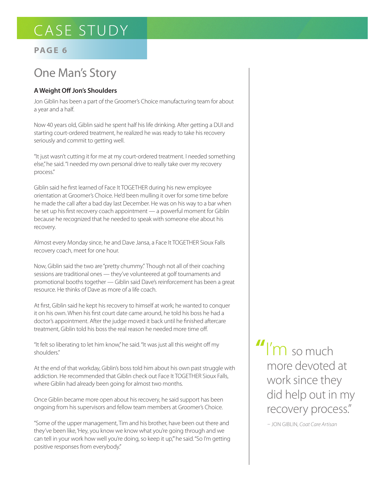#### **PAGE 6**

### One Man's Story

#### **A Weight Off Jon's Shoulders**

Jon Giblin has been a part of the Groomer's Choice manufacturing team for about a year and a half.

Now 40 years old, Giblin said he spent half his life drinking. After getting a DUI and starting court-ordered treatment, he realized he was ready to take his recovery seriously and commit to getting well.

"It just wasn't cutting it for me at my court-ordered treatment. I needed something else," he said. "I needed my own personal drive to really take over my recovery process."

Giblin said he first learned of Face It TOGETHER during his new employee orientation at Groomer's Choice. He'd been mulling it over for some time before he made the call after a bad day last December. He was on his way to a bar when he set up his first recovery coach appointment — a powerful moment for Giblin because he recognized that he needed to speak with someone else about his recovery.

Almost every Monday since, he and Dave Jansa, a Face It TOGETHER Sioux Falls recovery coach, meet for one hour.

Now, Giblin said the two are "pretty chummy." Though not all of their coaching sessions are traditional ones — they've volunteered at golf tournaments and promotional booths together — Giblin said Dave's reinforcement has been a great resource. He thinks of Dave as more of a life coach.

At first, Giblin said he kept his recovery to himself at work; he wanted to conquer it on his own. When his first court date came around, he told his boss he had a doctor's appointment. After the judge moved it back until he finished aftercare treatment, Giblin told his boss the real reason he needed more time off.

"It felt so liberating to let him know," he said. "It was just all this weight off my shoulders."

At the end of that workday, Giblin's boss told him about his own past struggle with addiction. He recommended that Giblin check out Face It TOGETHER Sioux Falls, where Giblin had already been going for almost two months.

Once Giblin became more open about his recovery, he said support has been ongoing from his supervisors and fellow team members at Groomer's Choice.

"Some of the upper management, Tim and his brother, have been out there and they've been like, 'Hey, you know we know what you're going through and we can tell in your work how well you're doing, so keep it up," he said. "So I'm getting positive responses from everybody."

**"**I'm so much more devoted at work since they did help out in my recovery process."

– Jon Giblin, *Coat Care Artisan*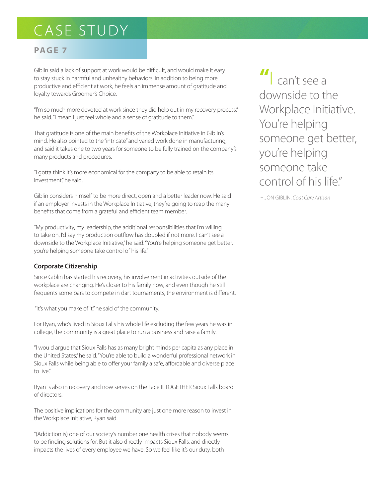#### **PAGE 7**

Giblin said a lack of support at work would be difficult, and would make it easy to stay stuck in harmful and unhealthy behaviors. In addition to being more productive and efficient at work, he feels an immense amount of gratitude and loyalty towards Groomer's Choice.

"I'm so much more devoted at work since they did help out in my recovery process," he said. "I mean I just feel whole and a sense of gratitude to them."

That gratitude is one of the main benefits of the Workplace Initiative in Giblin's mind. He also pointed to the "intricate" and varied work done in manufacturing, and said it takes one to two years for someone to be fully trained on the company's many products and procedures.

"I gotta think it's more economical for the company to be able to retain its investment," he said.

Giblin considers himself to be more direct, open and a better leader now. He said if an employer invests in the Workplace Initiative, they're going to reap the many benefits that come from a grateful and efficient team member.

"My productivity, my leadership, the additional responsibilities that I'm willing to take on, I'd say my production outflow has doubled if not more. I can't see a downside to the Workplace Initiative," he said. "You're helping someone get better, you're helping someone take control of his life."

#### **Corporate Citizenship**

Since Giblin has started his recovery, his involvement in activities outside of the workplace are changing. He's closer to his family now, and even though he still frequents some bars to compete in dart tournaments, the environment is different.

"It's what you make of it," he said of the community.

For Ryan, who's lived in Sioux Falls his whole life excluding the few years he was in college, the community is a great place to run a business and raise a family.

"I would argue that Sioux Falls has as many bright minds per capita as any place in the United States," he said. "You're able to build a wonderful professional network in Sioux Falls while being able to offer your family a safe, affordable and diverse place to live."

Ryan is also in recovery and now serves on the Face It TOGETHER Sioux Falls board of directors.

The positive implications for the community are just one more reason to invest in the Workplace Initiative, Ryan said.

"(Addiction is) one of our society's number one health crises that nobody seems to be finding solutions for. But it also directly impacts Sioux Falls, and directly impacts the lives of every employee we have. So we feel like it's our duty, both

**"**I can't see a downside to the Workplace Initiative. You're helping someone get better, you're helping someone take control of his life."

– Jon Giblin, *Coat Care Artisan*